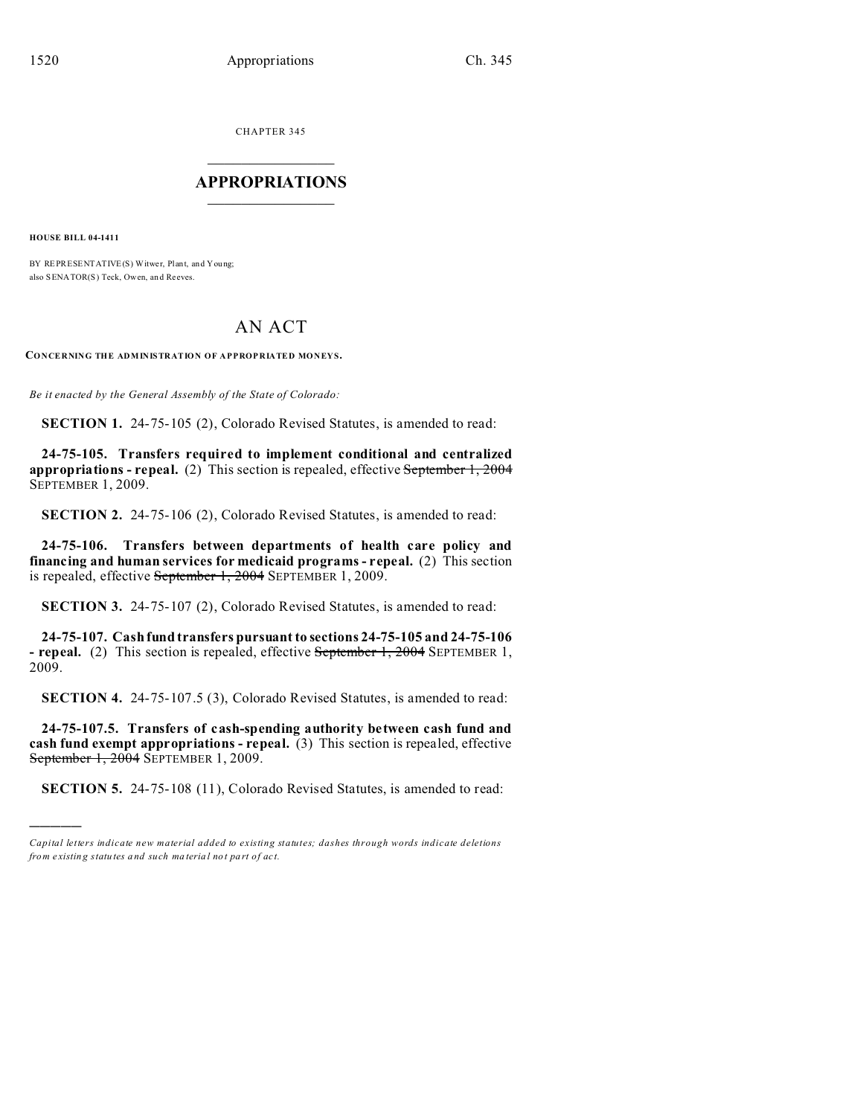CHAPTER 345  $\overline{\phantom{a}}$  , where  $\overline{\phantom{a}}$ 

## **APPROPRIATIONS**  $\_$   $\_$   $\_$   $\_$   $\_$   $\_$   $\_$   $\_$

**HOUSE BILL 04-1411**

)))))

BY REPRESENTATIVE(S) Witwer, Plant, and You ng; also SENATOR(S) Teck, Owen, an d Reeves.

## AN ACT

**CONCERNING THE ADMINISTRATION OF APPROPRIATED MONEYS.**

*Be it enacted by the General Assembly of the State of Colorado:*

**SECTION 1.** 24-75-105 (2), Colorado Revised Statutes, is amended to read:

**24-75-105. Transfers required to implement conditional and centralized appropriations - repeal.** (2) This section is repealed, effective September 1, 2004 SEPTEMBER 1, 2009.

**SECTION 2.** 24-75-106 (2), Colorado Revised Statutes, is amended to read:

**24-75-106. Transfers between departments of health care policy and financing and human services for medicaid programs - repeal.** (2) This section is repealed, effective September 1, 2004 SEPTEMBER 1, 2009.

**SECTION 3.** 24-75-107 (2), Colorado Revised Statutes, is amended to read:

**24-75-107. Cash fund transfers pursuant to sections 24-75-105 and 24-75-106 - repeal.** (2) This section is repealed, effective September 1, 2004 SEPTEMBER 1, 2009.

**SECTION 4.** 24-75-107.5 (3), Colorado Revised Statutes, is amended to read:

**24-75-107.5. Transfers of cash-spending authority between cash fund and cash fund exempt appropriations - repeal.** (3) This section is repealed, effective September 1, 2004 SEPTEMBER 1, 2009.

**SECTION 5.** 24-75-108 (11), Colorado Revised Statutes, is amended to read:

*Capital letters indicate new material added to existing statutes; dashes through words indicate deletions from e xistin g statu tes a nd such ma teria l no t pa rt of ac t.*